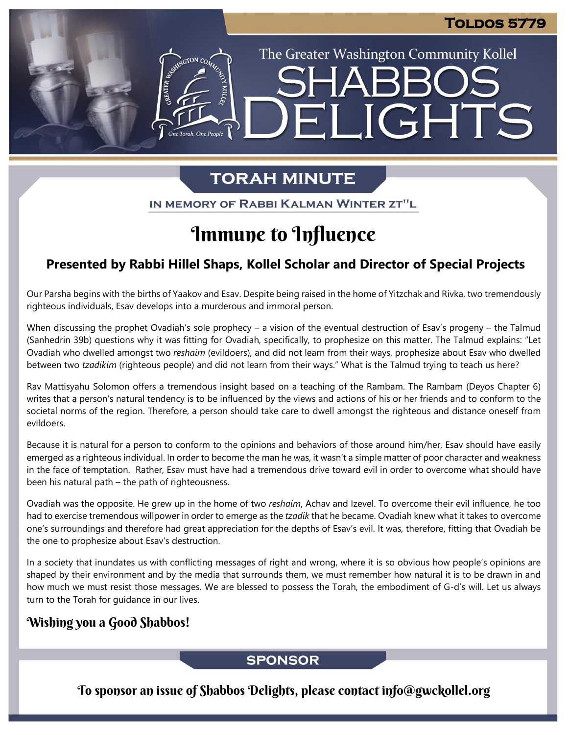The Greater Washington Community Kollel

ELIGHTS

## **TORAH MINUTE**

IN MEMORY OF RABBI KALMAN WINTER ZT"L

## Immune to Influence

## **Presented by Rabbi Hillel Shaps, Kollel Scholar and Director of Special Projects**

Our Parsha begins with the births of Yaakov and Esav. Despite being raised in the home of Yitzchak and Rivka, two tremendously righteous individuals, Esav develops into a murderous and immoral person.

When discussing the prophet Ovadiah's sole prophecy – a vision of the eventual destruction of Esav's progeny – the Talmud (Sanhedrin 39b) questions why it was fitting for Ovadiah, specifically, to prophesize on this matter. The Talmud explains: "Let Ovadiah who dwelled amongst two *reshaim* (evildoers), and did not learn from their ways, prophesize about Esav who dwelled between two *tzadikim* (righteous people) and did not learn from their ways." What is the Talmud trying to teach us here?

Rav Mattisyahu Solomon offers a tremendous insight based on a teaching of the Rambam. The Rambam (Deyos Chapter 6) writes that a person's natural tendency is to be influenced by the views and actions of his or her friends and to conform to the societal norms of the region. Therefore, a person should take care to dwell amongst the righteous and distance oneself from evildoers.

Because it is natural for a person to conform to the opinions and behaviors of those around him/her, Esav should have easily emerged as a righteous individual. In order to become the man he was, it wasn't a simple matter of poor character and weakness in the face of temptation. Rather, Esav must have had a tremendous drive toward evil in order to overcome what should have been his natural path – the path of righteousness.

Ovadiah was the opposite. He grew up in the home of two *reshaim*, Achav and Izevel. To overcome their evil influence, he too had to exercise tremendous willpower in order to emerge as the *tzadik* that he became. Ovadiah knew what it takes to overcome one's surroundings and therefore had great appreciation for the depths of Esav's evil. It was, therefore, fitting that Ovadiah be the one to prophesize about Esav's destruction.

In a society that inundates us with conflicting messages of right and wrong, where it is so obvious how people's opinions are shaped by their environment and by the media that surrounds them, we must remember how natural it is to be drawn in and how much we must resist those messages. We are blessed to possess the Torah, the embodiment of G-d's will. Let us always turn to the Torah for guidance in our lives.

## Wishing you a Good Shabbos!

## **SPONSOR**

To sponsor an issue of Shabbos Delights, please contact info@gwckollel.org